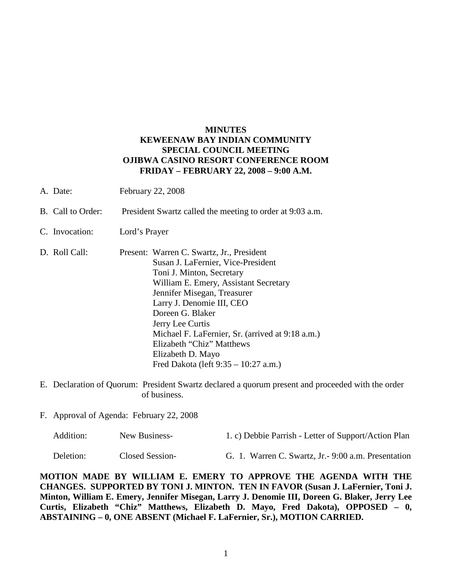# **MINUTES KEWEENAW BAY INDIAN COMMUNITY SPECIAL COUNCIL MEETING OJIBWA CASINO RESORT CONFERENCE ROOM FRIDAY – FEBRUARY 22, 2008 – 9:00 A.M.**

- A. Date: February 22, 2008
- B. Call to Order: President Swartz called the meeting to order at 9:03 a.m.
- C. Invocation: Lord's Prayer
- D. Roll Call: Present: Warren C. Swartz, Jr., President Susan J. LaFernier, Vice-President Toni J. Minton, Secretary William E. Emery, Assistant Secretary Jennifer Misegan, Treasurer Larry J. Denomie III, CEO Doreen G. Blaker Jerry Lee Curtis Michael F. LaFernier, Sr. (arrived at 9:18 a.m.) Elizabeth "Chiz" Matthews Elizabeth D. Mayo Fred Dakota (left 9:35 – 10:27 a.m.)
- E. Declaration of Quorum: President Swartz declared a quorum present and proceeded with the order of business.
- F. Approval of Agenda: February 22, 2008

| Addition: | New Business-   | 1. c) Debbie Parrish - Letter of Support/Action Plan |
|-----------|-----------------|------------------------------------------------------|
| Deletion: | Closed Session- | G. 1. Warren C. Swartz, Jr. - 9:00 a.m. Presentation |

**MOTION MADE BY WILLIAM E. EMERY TO APPROVE THE AGENDA WITH THE CHANGES. SUPPORTED BY TONI J. MINTON. TEN IN FAVOR (Susan J. LaFernier, Toni J. Minton, William E. Emery, Jennifer Misegan, Larry J. Denomie III, Doreen G. Blaker, Jerry Lee Curtis, Elizabeth "Chiz" Matthews, Elizabeth D. Mayo, Fred Dakota), OPPOSED – 0, ABSTAINING – 0, ONE ABSENT (Michael F. LaFernier, Sr.), MOTION CARRIED.**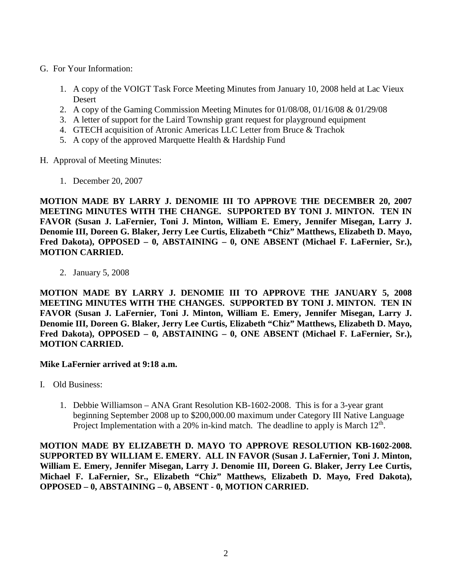- G. For Your Information:
	- 1. A copy of the VOIGT Task Force Meeting Minutes from January 10, 2008 held at Lac Vieux Desert
	- 2. A copy of the Gaming Commission Meeting Minutes for 01/08/08, 01/16/08 & 01/29/08
	- 3. A letter of support for the Laird Township grant request for playground equipment
	- 4. GTECH acquisition of Atronic Americas LLC Letter from Bruce & Trachok
	- 5. A copy of the approved Marquette Health & Hardship Fund
- H. Approval of Meeting Minutes:
	- 1. December 20, 2007

**MOTION MADE BY LARRY J. DENOMIE III TO APPROVE THE DECEMBER 20, 2007 MEETING MINUTES WITH THE CHANGE. SUPPORTED BY TONI J. MINTON. TEN IN FAVOR (Susan J. LaFernier, Toni J. Minton, William E. Emery, Jennifer Misegan, Larry J. Denomie III, Doreen G. Blaker, Jerry Lee Curtis, Elizabeth "Chiz" Matthews, Elizabeth D. Mayo, Fred Dakota), OPPOSED – 0, ABSTAINING – 0, ONE ABSENT (Michael F. LaFernier, Sr.), MOTION CARRIED.**

2. January 5, 2008

**MOTION MADE BY LARRY J. DENOMIE III TO APPROVE THE JANUARY 5, 2008 MEETING MINUTES WITH THE CHANGES. SUPPORTED BY TONI J. MINTON. TEN IN FAVOR (Susan J. LaFernier, Toni J. Minton, William E. Emery, Jennifer Misegan, Larry J. Denomie III, Doreen G. Blaker, Jerry Lee Curtis, Elizabeth "Chiz" Matthews, Elizabeth D. Mayo, Fred Dakota), OPPOSED – 0, ABSTAINING – 0, ONE ABSENT (Michael F. LaFernier, Sr.), MOTION CARRIED.**

## **Mike LaFernier arrived at 9:18 a.m.**

- I. Old Business:
	- 1. Debbie Williamson ANA Grant Resolution KB-1602-2008. This is for a 3-year grant beginning September 2008 up to \$200,000.00 maximum under Category III Native Language Project Implementation with a 20% in-kind match. The deadline to apply is March  $12<sup>th</sup>$ .

**MOTION MADE BY ELIZABETH D. MAYO TO APPROVE RESOLUTION KB-1602-2008. SUPPORTED BY WILLIAM E. EMERY. ALL IN FAVOR (Susan J. LaFernier, Toni J. Minton, William E. Emery, Jennifer Misegan, Larry J. Denomie III, Doreen G. Blaker, Jerry Lee Curtis, Michael F. LaFernier, Sr., Elizabeth "Chiz" Matthews, Elizabeth D. Mayo, Fred Dakota), OPPOSED – 0, ABSTAINING – 0, ABSENT - 0, MOTION CARRIED.**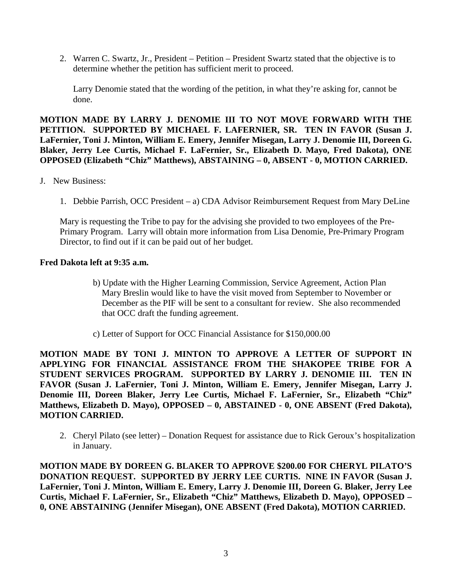2. Warren C. Swartz, Jr., President – Petition – President Swartz stated that the objective is to determine whether the petition has sufficient merit to proceed.

Larry Denomie stated that the wording of the petition, in what they're asking for, cannot be done.

**MOTION MADE BY LARRY J. DENOMIE III TO NOT MOVE FORWARD WITH THE PETITION. SUPPORTED BY MICHAEL F. LAFERNIER, SR. TEN IN FAVOR (Susan J. LaFernier, Toni J. Minton, William E. Emery, Jennifer Misegan, Larry J. Denomie III, Doreen G. Blaker, Jerry Lee Curtis, Michael F. LaFernier, Sr., Elizabeth D. Mayo, Fred Dakota), ONE OPPOSED (Elizabeth "Chiz" Matthews), ABSTAINING – 0, ABSENT - 0, MOTION CARRIED.**

- J. New Business:
	- 1. Debbie Parrish, OCC President a) CDA Advisor Reimbursement Request from Mary DeLine

Mary is requesting the Tribe to pay for the advising she provided to two employees of the Pre-Primary Program. Larry will obtain more information from Lisa Denomie, Pre-Primary Program Director, to find out if it can be paid out of her budget.

## **Fred Dakota left at 9:35 a.m.**

- b) Update with the Higher Learning Commission, Service Agreement, Action Plan Mary Breslin would like to have the visit moved from September to November or December as the PIF will be sent to a consultant for review. She also recommended that OCC draft the funding agreement.
- c) Letter of Support for OCC Financial Assistance for \$150,000.00

**MOTION MADE BY TONI J. MINTON TO APPROVE A LETTER OF SUPPORT IN APPLYING FOR FINANCIAL ASSISTANCE FROM THE SHAKOPEE TRIBE FOR A STUDENT SERVICES PROGRAM. SUPPORTED BY LARRY J. DENOMIE III. TEN IN FAVOR (Susan J. LaFernier, Toni J. Minton, William E. Emery, Jennifer Misegan, Larry J. Denomie III, Doreen Blaker, Jerry Lee Curtis, Michael F. LaFernier, Sr., Elizabeth "Chiz" Matthews, Elizabeth D. Mayo), OPPOSED – 0, ABSTAINED - 0, ONE ABSENT (Fred Dakota), MOTION CARRIED.** 

2. Cheryl Pilato (see letter) – Donation Request for assistance due to Rick Geroux's hospitalization in January.

**MOTION MADE BY DOREEN G. BLAKER TO APPROVE \$200.00 FOR CHERYL PILATO'S DONATION REQUEST. SUPPORTED BY JERRY LEE CURTIS. NINE IN FAVOR (Susan J. LaFernier, Toni J. Minton, William E. Emery, Larry J. Denomie III, Doreen G. Blaker, Jerry Lee Curtis, Michael F. LaFernier, Sr., Elizabeth "Chiz" Matthews, Elizabeth D. Mayo), OPPOSED – 0, ONE ABSTAINING (Jennifer Misegan), ONE ABSENT (Fred Dakota), MOTION CARRIED.**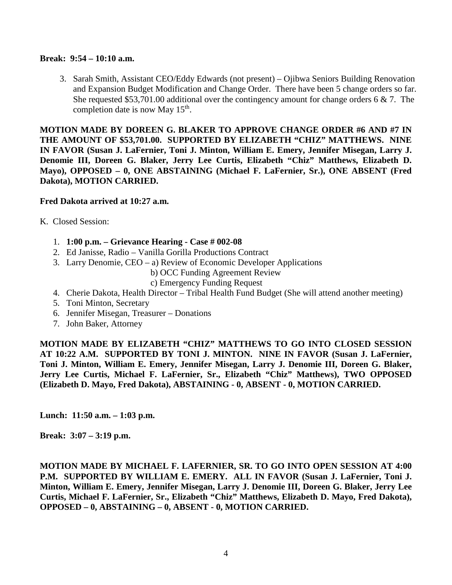### **Break: 9:54 – 10:10 a.m.**

3. Sarah Smith, Assistant CEO/Eddy Edwards (not present) – Ojibwa Seniors Building Renovation and Expansion Budget Modification and Change Order. There have been 5 change orders so far. She requested \$53,701.00 additional over the contingency amount for change orders 6  $\&$  7. The completion date is now May 15<sup>th</sup>.

**MOTION MADE BY DOREEN G. BLAKER TO APPROVE CHANGE ORDER #6 AND #7 IN THE AMOUNT OF \$53,701.00. SUPPORTED BY ELIZABETH "CHIZ" MATTHEWS. NINE IN FAVOR (Susan J. LaFernier, Toni J. Minton, William E. Emery, Jennifer Misegan, Larry J. Denomie III, Doreen G. Blaker, Jerry Lee Curtis, Elizabeth "Chiz" Matthews, Elizabeth D. Mayo), OPPOSED – 0, ONE ABSTAINING (Michael F. LaFernier, Sr.), ONE ABSENT (Fred Dakota), MOTION CARRIED.**

## **Fred Dakota arrived at 10:27 a.m.**

K. Closed Session:

- 1. **1:00 p.m. – Grievance Hearing - Case # 002-08**
- 2. Ed Janisse, Radio Vanilla Gorilla Productions Contract
- 3. Larry Denomie, CEO a) Review of Economic Developer Applications

b) OCC Funding Agreement Review

c) Emergency Funding Request

- 4. Cherie Dakota, Health Director Tribal Health Fund Budget (She will attend another meeting)
- 5. Toni Minton, Secretary
- 6. Jennifer Misegan, Treasurer Donations
- 7. John Baker, Attorney

**MOTION MADE BY ELIZABETH "CHIZ" MATTHEWS TO GO INTO CLOSED SESSION AT 10:22 A.M. SUPPORTED BY TONI J. MINTON. NINE IN FAVOR (Susan J. LaFernier, Toni J. Minton, William E. Emery, Jennifer Misegan, Larry J. Denomie III, Doreen G. Blaker, Jerry Lee Curtis, Michael F. LaFernier, Sr., Elizabeth "Chiz" Matthews), TWO OPPOSED (Elizabeth D. Mayo, Fred Dakota), ABSTAINING - 0, ABSENT - 0, MOTION CARRIED.**

**Lunch: 11:50 a.m. – 1:03 p.m.**

**Break: 3:07 – 3:19 p.m.**

**MOTION MADE BY MICHAEL F. LAFERNIER, SR. TO GO INTO OPEN SESSION AT 4:00**  P.M. SUPPORTED BY WILLIAM E. EMERY. ALL IN FAVOR (Susan J. LaFernier, Toni J. **Minton, William E. Emery, Jennifer Misegan, Larry J. Denomie III, Doreen G. Blaker, Jerry Lee Curtis, Michael F. LaFernier, Sr., Elizabeth "Chiz" Matthews, Elizabeth D. Mayo, Fred Dakota), OPPOSED – 0, ABSTAINING – 0, ABSENT - 0, MOTION CARRIED.**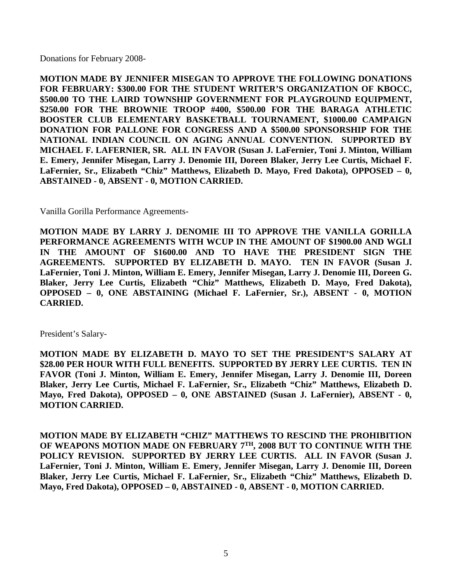Donations for February 2008-

**MOTION MADE BY JENNIFER MISEGAN TO APPROVE THE FOLLOWING DONATIONS FOR FEBRUARY: \$300.00 FOR THE STUDENT WRITER'S ORGANIZATION OF KBOCC, \$500.00 TO THE LAIRD TOWNSHIP GOVERNMENT FOR PLAYGROUND EQUIPMENT, \$250.00 FOR THE BROWNIE TROOP #400, \$500.00 FOR THE BARAGA ATHLETIC BOOSTER CLUB ELEMENTARY BASKETBALL TOURNAMENT, \$1000.00 CAMPAIGN DONATION FOR PALLONE FOR CONGRESS AND A \$500.00 SPONSORSHIP FOR THE NATIONAL INDIAN COUNCIL ON AGING ANNUAL CONVENTION. SUPPORTED BY MICHAEL F. LAFERNIER, SR. ALL IN FAVOR (Susan J. LaFernier, Toni J. Minton, William E. Emery, Jennifer Misegan, Larry J. Denomie III, Doreen Blaker, Jerry Lee Curtis, Michael F. LaFernier, Sr., Elizabeth "Chiz" Matthews, Elizabeth D. Mayo, Fred Dakota), OPPOSED – 0, ABSTAINED - 0, ABSENT - 0, MOTION CARRIED.** 

Vanilla Gorilla Performance Agreements-

**MOTION MADE BY LARRY J. DENOMIE III TO APPROVE THE VANILLA GORILLA PERFORMANCE AGREEMENTS WITH WCUP IN THE AMOUNT OF \$1900.00 AND WGLI IN THE AMOUNT OF \$1600.00 AND TO HAVE THE PRESIDENT SIGN THE AGREEMENTS. SUPPORTED BY ELIZABETH D. MAYO. TEN IN FAVOR (Susan J. LaFernier, Toni J. Minton, William E. Emery, Jennifer Misegan, Larry J. Denomie III, Doreen G. Blaker, Jerry Lee Curtis, Elizabeth "Chiz" Matthews, Elizabeth D. Mayo, Fred Dakota), OPPOSED – 0, ONE ABSTAINING (Michael F. LaFernier, Sr.), ABSENT - 0, MOTION CARRIED.**

President's Salary-

**MOTION MADE BY ELIZABETH D. MAYO TO SET THE PRESIDENT'S SALARY AT \$28.00 PER HOUR WITH FULL BENEFITS. SUPPORTED BY JERRY LEE CURTIS. TEN IN FAVOR (Toni J. Minton, William E. Emery, Jennifer Misegan, Larry J. Denomie III, Doreen Blaker, Jerry Lee Curtis, Michael F. LaFernier, Sr., Elizabeth "Chiz" Matthews, Elizabeth D. Mayo, Fred Dakota), OPPOSED – 0, ONE ABSTAINED (Susan J. LaFernier), ABSENT - 0, MOTION CARRIED.** 

**MOTION MADE BY ELIZABETH "CHIZ" MATTHEWS TO RESCIND THE PROHIBITION OF WEAPONS MOTION MADE ON FEBRUARY 7TH, 2008 BUT TO CONTINUE WITH THE POLICY REVISION. SUPPORTED BY JERRY LEE CURTIS. ALL IN FAVOR (Susan J. LaFernier, Toni J. Minton, William E. Emery, Jennifer Misegan, Larry J. Denomie III, Doreen Blaker, Jerry Lee Curtis, Michael F. LaFernier, Sr., Elizabeth "Chiz" Matthews, Elizabeth D. Mayo, Fred Dakota), OPPOSED – 0, ABSTAINED - 0, ABSENT - 0, MOTION CARRIED.**